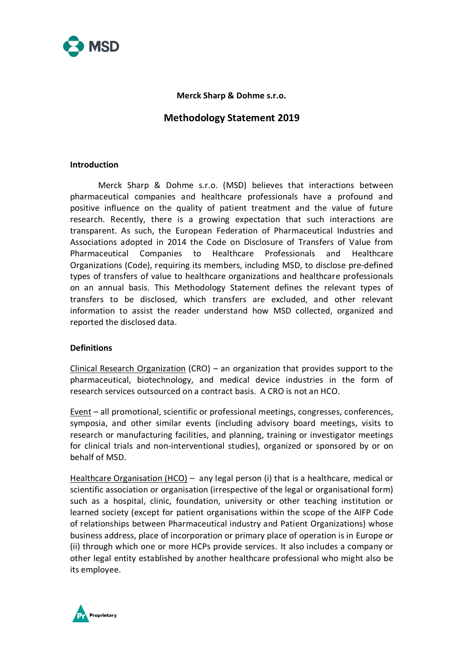

**Merck Sharp & Dohme s.r.o.**

# **Methodology Statement 2019**

#### **Introduction**

Merck Sharp & Dohme s.r.o. (MSD) believes that interactions between pharmaceutical companies and healthcare professionals have a profound and positive influence on the quality of patient treatment and the value of future research. Recently, there is a growing expectation that such interactions are transparent. As such, the European Federation of Pharmaceutical Industries and Associations adopted in 2014 the Code on Disclosure of Transfers of Value from Pharmaceutical Companies to Healthcare Professionals and Healthcare Organizations (Code), requiring its members, including MSD, to disclose pre-defined types of transfers of value to healthcare organizations and healthcare professionals on an annual basis. This Methodology Statement defines the relevant types of transfers to be disclosed, which transfers are excluded, and other relevant information to assist the reader understand how MSD collected, organized and reported the disclosed data.

### **Definitions**

Clinical Research Organization (CRO) – an organization that provides support to the pharmaceutical, biotechnology, and medical device industries in the form of research services outsourced on a contract basis. A CRO is not an HCO.

Event – all promotional, scientific or professional meetings, congresses, conferences, symposia, and other similar events (including advisory board meetings, visits to research or manufacturing facilities, and planning, training or investigator meetings for clinical trials and non-interventional studies), organized or sponsored by or on behalf of MSD.

Healthcare Organisation (HCO) – any legal person (i) that is a healthcare, medical or scientific association or organisation (irrespective of the legal or organisational form) such as a hospital, clinic, foundation, university or other teaching institution or learned society (except for patient organisations within the scope of the AIFP Code of relationships between Pharmaceutical industry and Patient Organizations) whose business address, place of incorporation or primary place of operation is in Europe or (ii) through which one or more HCPs provide services. It also includes a company or other legal entity established by another healthcare professional who might also be its employee.

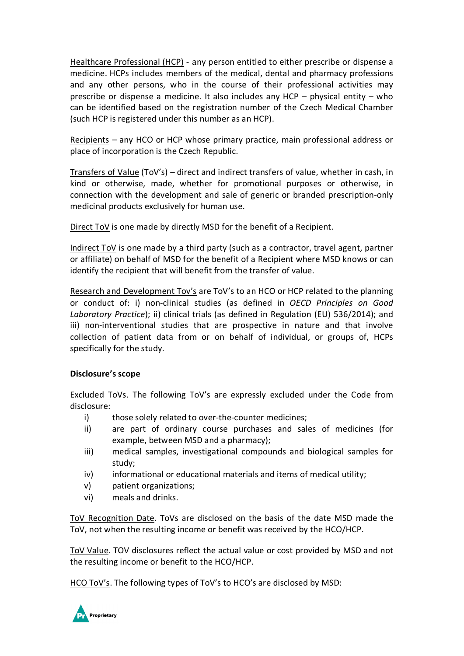Healthcare Professional (HCP) - any person entitled to either prescribe or dispense a medicine. HCPs includes members of the medical, dental and pharmacy professions and any other persons, who in the course of their professional activities may prescribe or dispense a medicine. It also includes any HCP – physical entity – who can be identified based on the registration number of the Czech Medical Chamber (such HCP is registered under this number as an HCP).

Recipients – any HCO or HCP whose primary practice, main professional address or place of incorporation is the Czech Republic.

Transfers of Value (ToV's) – direct and indirect transfers of value, whether in cash, in kind or otherwise, made, whether for promotional purposes or otherwise, in connection with the development and sale of generic or branded prescription-only medicinal products exclusively for human use.

Direct ToV is one made by directly MSD for the benefit of a Recipient.

Indirect ToV is one made by a third party (such as a contractor, travel agent, partner or affiliate) on behalf of MSD for the benefit of a Recipient where MSD knows or can identify the recipient that will benefit from the transfer of value.

Research and Development Tov's are ToV's to an HCO or HCP related to the planning or conduct of: i) non-clinical studies (as defined in *OECD Principles on Good Laboratory Practice*); ii) clinical trials (as defined in Regulation (EU) 536/2014); and iii) non-interventional studies that are prospective in nature and that involve collection of patient data from or on behalf of individual, or groups of, HCPs specifically for the study.

### **Disclosure's scope**

Excluded ToVs. The following ToV's are expressly excluded under the Code from disclosure:

- i) those solely related to over-the-counter medicines;
- ii) are part of ordinary course purchases and sales of medicines (for example, between MSD and a pharmacy);
- iii) medical samples, investigational compounds and biological samples for study;
- iv) informational or educational materials and items of medical utility;
- v) patient organizations;
- vi) meals and drinks.

ToV Recognition Date. ToVs are disclosed on the basis of the date MSD made the ToV, not when the resulting income or benefit was received by the HCO/HCP.

ToV Value. TOV disclosures reflect the actual value or cost provided by MSD and not the resulting income or benefit to the HCO/HCP.

HCO ToV's. The following types of ToV's to HCO's are disclosed by MSD:

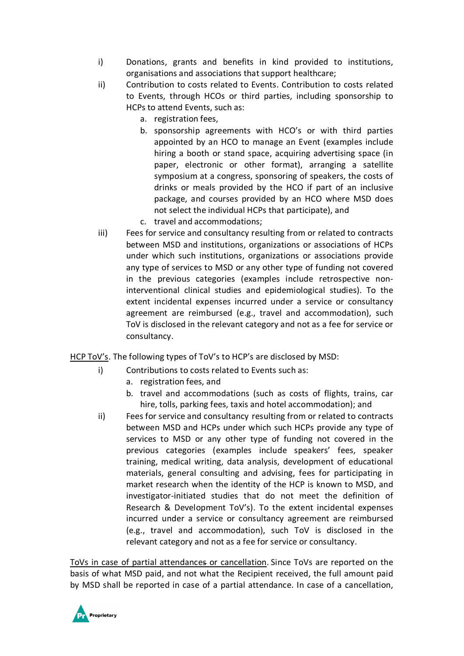- i) Donations, grants and benefits in kind provided to institutions, organisations and associations that support healthcare;
- ii) Contribution to costs related to Events. Contribution to costs related to Events, through HCOs or third parties, including sponsorship to HCPs to attend Events, such as:
	- a. registration fees,
	- b. sponsorship agreements with HCO's or with third parties appointed by an HCO to manage an Event (examples include hiring a booth or stand space, acquiring advertising space (in paper, electronic or other format), arranging a satellite symposium at a congress, sponsoring of speakers, the costs of drinks or meals provided by the HCO if part of an inclusive package, and courses provided by an HCO where MSD does not select the individual HCPs that participate), and
	- c. travel and accommodations;
- iii) Fees for service and consultancy resulting from or related to contracts between MSD and institutions, organizations or associations of HCPs under which such institutions, organizations or associations provide any type of services to MSD or any other type of funding not covered in the previous categories (examples include retrospective noninterventional clinical studies and epidemiological studies). To the extent incidental expenses incurred under a service or consultancy agreement are reimbursed (e.g., travel and accommodation), such ToV is disclosed in the relevant category and not as a fee for service or consultancy.

HCP ToV's. The following types of ToV's to HCP's are disclosed by MSD:

- i) Contributions to costs related to Events such as:
	- a. registration fees, and
	- b. travel and accommodations (such as costs of flights, trains, car hire, tolls, parking fees, taxis and hotel accommodation); and
- ii) Fees for service and consultancy resulting from or related to contracts between MSD and HCPs under which such HCPs provide any type of services to MSD or any other type of funding not covered in the previous categories (examples include speakers' fees, speaker training, medical writing, data analysis, development of educational materials, general consulting and advising, fees for participating in market research when the identity of the HCP is known to MSD, and investigator-initiated studies that do not meet the definition of Research & Development ToV's). To the extent incidental expenses incurred under a service or consultancy agreement are reimbursed (e.g., travel and accommodation), such ToV is disclosed in the relevant category and not as a fee for service or consultancy.

ToVs in case of partial attendances or cancellation. Since ToVs are reported on the basis of what MSD paid, and not what the Recipient received, the full amount paid by MSD shall be reported in case of a partial attendance. In case of a cancellation,

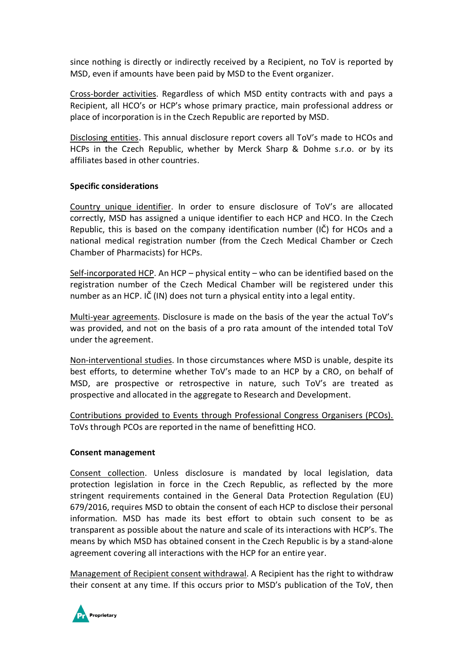since nothing is directly or indirectly received by a Recipient, no ToV is reported by MSD, even if amounts have been paid by MSD to the Event organizer.

Cross-border activities. Regardless of which MSD entity contracts with and pays a Recipient, all HCO's or HCP's whose primary practice, main professional address or place of incorporation is in the Czech Republic are reported by MSD.

Disclosing entities. This annual disclosure report covers all ToV's made to HCOs and HCPs in the Czech Republic, whether by Merck Sharp & Dohme s.r.o. or by its affiliates based in other countries.

## **Specific considerations**

Country unique identifier. In order to ensure disclosure of ToV's are allocated correctly, MSD has assigned a unique identifier to each HCP and HCO. In the Czech Republic, this is based on the company identification number (IČ) for HCOs and a national medical registration number (from the Czech Medical Chamber or Czech Chamber of Pharmacists) for HCPs.

Self-incorporated HCP. An HCP – physical entity – who can be identified based on the registration number of the Czech Medical Chamber will be registered under this number as an HCP. IČ (IN) does not turn a physical entity into a legal entity.

Multi-year agreements. Disclosure is made on the basis of the year the actual ToV's was provided, and not on the basis of a pro rata amount of the intended total ToV under the agreement.

Non-interventional studies. In those circumstances where MSD is unable, despite its best efforts, to determine whether ToV's made to an HCP by a CRO, on behalf of MSD, are prospective or retrospective in nature, such ToV's are treated as prospective and allocated in the aggregate to Research and Development.

Contributions provided to Events through Professional Congress Organisers (PCOs). ToVs through PCOs are reported in the name of benefitting HCO.

### **Consent management**

Consent collection. Unless disclosure is mandated by local legislation, data protection legislation in force in the Czech Republic, as reflected by the more stringent requirements contained in the General Data Protection Regulation (EU) 679/2016, requires MSD to obtain the consent of each HCP to disclose their personal information. MSD has made its best effort to obtain such consent to be as transparent as possible about the nature and scale of its interactions with HCP's. The means by which MSD has obtained consent in the Czech Republic is by a stand-alone agreement covering all interactions with the HCP for an entire year.

Management of Recipient consent withdrawal. A Recipient has the right to withdraw their consent at any time. If this occurs prior to MSD's publication of the ToV, then